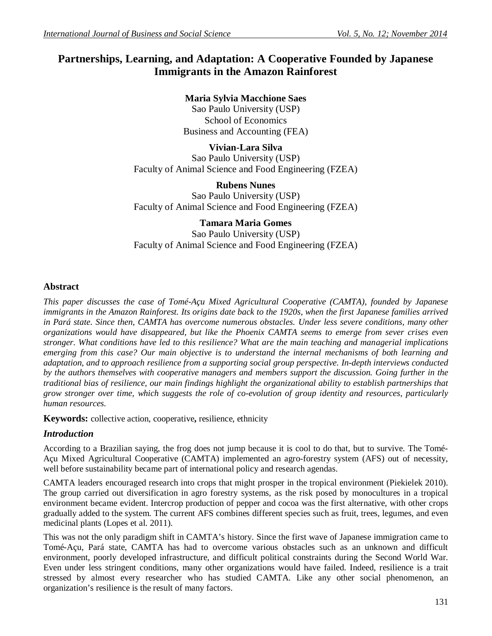# **Partnerships, Learning, and Adaptation: A Cooperative Founded by Japanese Immigrants in the Amazon Rainforest**

# **Maria Sylvia Macchione Saes**

Sao Paulo University (USP) School of Economics Business and Accounting (FEA)

**Vivian-Lara Silva** Sao Paulo University (USP) Faculty of Animal Science and Food Engineering (FZEA)

**Rubens Nunes** Sao Paulo University (USP) Faculty of Animal Science and Food Engineering (FZEA)

**Tamara Maria Gomes** Sao Paulo University (USP) Faculty of Animal Science and Food Engineering (FZEA)

## **Abstract**

*This paper discusses the case of Tomé-Açu Mixed Agricultural Cooperative (CAMTA), founded by Japanese immigrants in the Amazon Rainforest. Its origins date back to the 1920s, when the first Japanese families arrived in Pará state. Since then, CAMTA has overcome numerous obstacles. Under less severe conditions, many other organizations would have disappeared, but like the Phoenix CAMTA seems to emerge from sever crises even stronger. What conditions have led to this resilience? What are the main teaching and managerial implications emerging from this case? Our main objective is to understand the internal mechanisms of both learning and adaptation, and to approach resilience from a supporting social group perspective. In-depth interviews conducted by the authors themselves with cooperative managers and members support the discussion. Going further in the traditional bias of resilience, our main findings highlight the organizational ability to establish partnerships that grow stronger over time, which suggests the role of co-evolution of group identity and resources, particularly human resources.*

**Keywords:** collective action, cooperative**,** resilience, ethnicity

### *Introduction*

According to a Brazilian saying, the frog does not jump because it is cool to do that, but to survive. The Tomé-Açu Mixed Agricultural Cooperative (CAMTA) implemented an agro-forestry system (AFS) out of necessity, well before sustainability became part of international policy and research agendas.

CAMTA leaders encouraged research into crops that might prosper in the tropical environment (Piekielek 2010). The group carried out diversification in agro forestry systems, as the risk posed by monocultures in a tropical environment became evident. Intercrop production of pepper and cocoa was the first alternative, with other crops gradually added to the system. The current AFS combines different species such as fruit, trees, legumes, and even medicinal plants (Lopes et al. 2011).

This was not the only paradigm shift in CAMTA's history. Since the first wave of Japanese immigration came to Tomé-Açu, Pará state, CAMTA has had to overcome various obstacles such as an unknown and difficult environment, poorly developed infrastructure, and difficult political constraints during the Second World War. Even under less stringent conditions, many other organizations would have failed. Indeed, resilience is a trait stressed by almost every researcher who has studied CAMTA. Like any other social phenomenon, an organization's resilience is the result of many factors.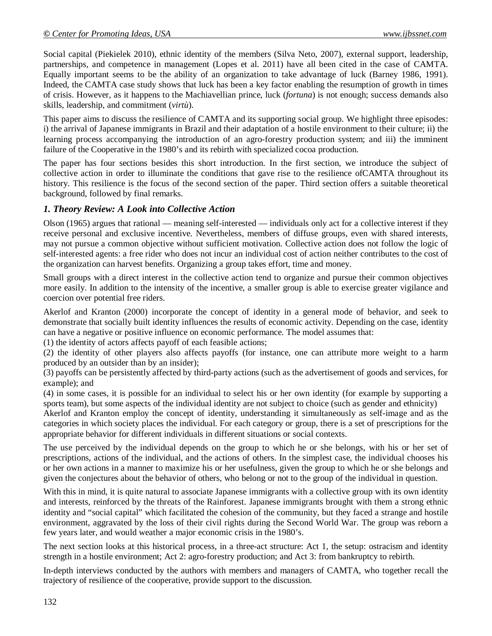Social capital (Piekielek 2010), ethnic identity of the members (Silva Neto, 2007), external support, leadership, partnerships, and competence in management (Lopes et al. 2011) have all been cited in the case of CAMTA. Equally important seems to be the ability of an organization to take advantage of luck (Barney 1986, 1991). Indeed, the CAMTA case study shows that luck has been a key factor enabling the resumption of growth in times of crisis. However, as it happens to the Machiavellian prince, luck (*fortuna*) is not enough; success demands also skills, leadership, and commitment (*virtù*).

This paper aims to discuss the resilience of CAMTA and its supporting social group. We highlight three episodes: i) the arrival of Japanese immigrants in Brazil and their adaptation of a hostile environment to their culture; ii) the learning process accompanying the introduction of an agro-forestry production system; and iii) the imminent failure of the Cooperative in the 1980's and its rebirth with specialized cocoa production.

The paper has four sections besides this short introduction. In the first section, we introduce the subject of collective action in order to illuminate the conditions that gave rise to the resilience ofCAMTA throughout its history. This resilience is the focus of the second section of the paper. Third section offers a suitable theoretical background, followed by final remarks.

### *1. Theory Review: A Look into Collective Action*

Olson (1965) argues that rational — meaning self-interested — individuals only act for a collective interest if they receive personal and exclusive incentive. Nevertheless, members of diffuse groups, even with shared interests, may not pursue a common objective without sufficient motivation. Collective action does not follow the logic of self-interested agents: a free rider who does not incur an individual cost of action neither contributes to the cost of the organization can harvest benefits. Organizing a group takes effort, time and money.

Small groups with a direct interest in the collective action tend to organize and pursue their common objectives more easily. In addition to the intensity of the incentive, a smaller group is able to exercise greater vigilance and coercion over potential free riders.

Akerlof and Kranton (2000) incorporate the concept of identity in a general mode of behavior, and seek to demonstrate that socially built identity influences the results of economic activity. Depending on the case, identity can have a negative or positive influence on economic performance. The model assumes that:

(1) the identity of actors affects payoff of each feasible actions;

(2) the identity of other players also affects payoffs (for instance, one can attribute more weight to a harm produced by an outsider than by an insider);

(3) payoffs can be persistently affected by third-party actions (such as the advertisement of goods and services, for example); and

(4) in some cases, it is possible for an individual to select his or her own identity (for example by supporting a sports team), but some aspects of the individual identity are not subject to choice (such as gender and ethnicity)

Akerlof and Kranton employ the concept of identity, understanding it simultaneously as self-image and as the categories in which society places the individual. For each category or group, there is a set of prescriptions for the appropriate behavior for different individuals in different situations or social contexts.

The use perceived by the individual depends on the group to which he or she belongs, with his or her set of prescriptions, actions of the individual, and the actions of others. In the simplest case, the individual chooses his or her own actions in a manner to maximize his or her usefulness, given the group to which he or she belongs and given the conjectures about the behavior of others, who belong or not to the group of the individual in question.

With this in mind, it is quite natural to associate Japanese immigrants with a collective group with its own identity and interests, reinforced by the threats of the Rainforest. Japanese immigrants brought with them a strong ethnic identity and "social capital" which facilitated the cohesion of the community, but they faced a strange and hostile environment, aggravated by the loss of their civil rights during the Second World War. The group was reborn a few years later, and would weather a major economic crisis in the 1980's.

The next section looks at this historical process, in a three-act structure: Act 1, the setup: ostracism and identity strength in a hostile environment; Act 2: agro-forestry production; and Act 3: from bankruptcy to rebirth.

In-depth interviews conducted by the authors with members and managers of CAMTA, who together recall the trajectory of resilience of the cooperative, provide support to the discussion.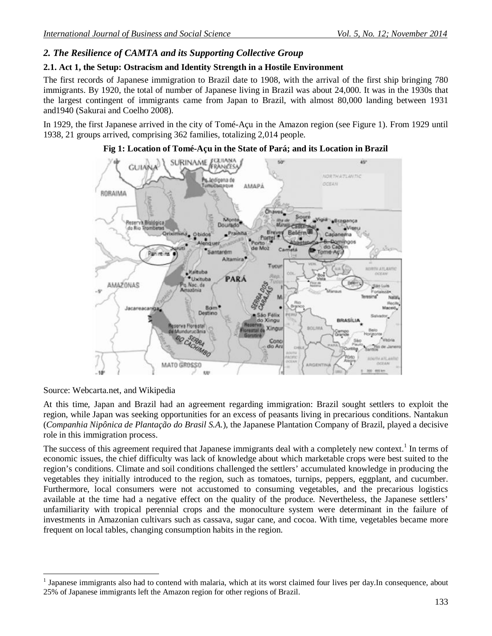### *2. The Resilience of CAMTA and its Supporting Collective Group*

### **2.1. Act 1, the Setup: Ostracism and Identity Strength in a Hostile Environment**

The first records of Japanese immigration to Brazil date to 1908, with the arrival of the first ship bringing 780 immigrants. By 1920, the total of number of Japanese living in Brazil was about 24,000. It was in the 1930s that the largest contingent of immigrants came from Japan to Brazil, with almost 80,000 landing between 1931 and1940 (Sakurai and Coelho 2008).

In 1929, the first Japanese arrived in the city of Tomé-Açu in the Amazon region (see Figure 1). From 1929 until 1938, 21 groups arrived, comprising 362 families, totalizing 2,014 people.

#### **Fig 1: Location of Tomé-Açu in the State of Pará; and its Location in Brazil**



Source: Webcarta.net, and Wikipedia

 $\overline{a}$ 

At this time, Japan and Brazil had an agreement regarding immigration: Brazil sought settlers to exploit the region, while Japan was seeking opportunities for an excess of peasants living in precarious conditions. Nantakun (*Companhia Nipônica de Plantação do Brasil S.A.*), the Japanese Plantation Company of Brazil, played a decisive role in this immigration process.

The success of this agreement required that Japanese immigrants deal with a completely new context.<sup>1</sup> In terms of economic issues, the chief difficulty was lack of knowledge about which marketable crops were best suited to the region's conditions. Climate and soil conditions challenged the settlers' accumulated knowledge in producing the vegetables they initially introduced to the region, such as tomatoes, turnips, peppers, eggplant, and cucumber. Furthermore, local consumers were not accustomed to consuming vegetables, and the precarious logistics available at the time had a negative effect on the quality of the produce. Nevertheless, the Japanese settlers' unfamiliarity with tropical perennial crops and the monoculture system were determinant in the failure of investments in Amazonian cultivars such as cassava, sugar cane, and cocoa. With time, vegetables became more frequent on local tables, changing consumption habits in the region.

<sup>1</sup> Japanese immigrants also had to contend with malaria, which at its worst claimed four lives per day.In consequence, about 25% of Japanese immigrants left the Amazon region for other regions of Brazil.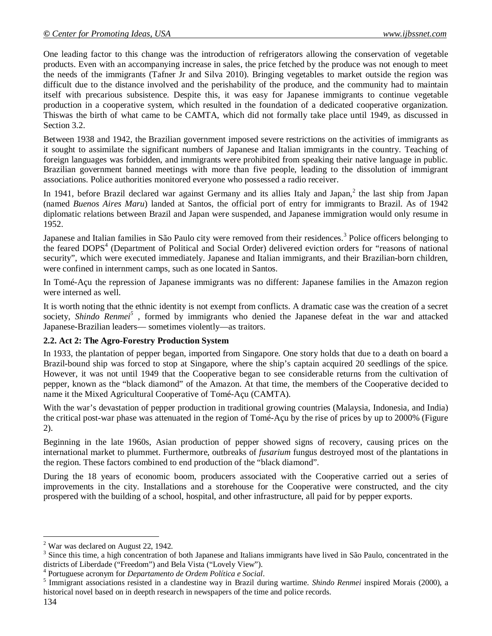One leading factor to this change was the introduction of refrigerators allowing the conservation of vegetable products. Even with an accompanying increase in sales, the price fetched by the produce was not enough to meet the needs of the immigrants (Tafner Jr and Silva 2010). Bringing vegetables to market outside the region was difficult due to the distance involved and the perishability of the produce, and the community had to maintain itself with precarious subsistence. Despite this, it was easy for Japanese immigrants to continue vegetable production in a cooperative system, which resulted in the foundation of a dedicated cooperative organization. Thiswas the birth of what came to be CAMTA, which did not formally take place until 1949, as discussed in Section 3.2.

Between 1938 and 1942, the Brazilian government imposed severe restrictions on the activities of immigrants as it sought to assimilate the significant numbers of Japanese and Italian immigrants in the country. Teaching of foreign languages was forbidden, and immigrants were prohibited from speaking their native language in public. Brazilian government banned meetings with more than five people, leading to the dissolution of immigrant associations. Police authorities monitored everyone who possessed a radio receiver.

In 1941, before Brazil declared war against Germany and its allies Italy and Japan,<sup>2</sup> the last ship from Japan (named *Buenos Aires Maru*) landed at Santos, the official port of entry for immigrants to Brazil. As of 1942 diplomatic relations between Brazil and Japan were suspended, and Japanese immigration would only resume in 1952.

Japanese and Italian families in São Paulo city were removed from their residences.<sup>3</sup> Police officers belonging to the feared DOPS<sup>4</sup> (Department of Political and Social Order) delivered eviction orders for "reasons of national security", which were executed immediately. Japanese and Italian immigrants, and their Brazilian-born children, were confined in internment camps, such as one located in Santos.

In Tomé-Açu the repression of Japanese immigrants was no different: Japanese families in the Amazon region were interned as well.

It is worth noting that the ethnic identity is not exempt from conflicts. A dramatic case was the creation of a secret society, *Shindo Renmei<sup>5</sup>* , formed by immigrants who denied the Japanese defeat in the war and attacked Japanese-Brazilian leaders— sometimes violently—as traitors.

### **2.2. Act 2: The Agro-Forestry Production System**

In 1933, the plantation of pepper began, imported from Singapore. One story holds that due to a death on board a Brazil-bound ship was forced to stop at Singapore, where the ship's captain acquired 20 seedlings of the spice. However, it was not until 1949 that the Cooperative began to see considerable returns from the cultivation of pepper, known as the "black diamond" of the Amazon. At that time, the members of the Cooperative decided to name it the Mixed Agricultural Cooperative of Tomé-Açu (CAMTA).

With the war's devastation of pepper production in traditional growing countries (Malaysia, Indonesia, and India) the critical post-war phase was attenuated in the region of Tomé-Açu by the rise of prices by up to 2000% (Figure 2).

Beginning in the late 1960s, Asian production of pepper showed signs of recovery, causing prices on the international market to plummet. Furthermore, outbreaks of *fusarium* fungus destroyed most of the plantations in the region. These factors combined to end production of the "black diamond".

During the 18 years of economic boom, producers associated with the Cooperative carried out a series of improvements in the city. Installations and a storehouse for the Cooperative were constructed, and the city prospered with the building of a school, hospital, and other infrastructure, all paid for by pepper exports.

 $\overline{a}$  $2^2$  War was declared on August 22, 1942.

 $3$  Since this time, a high concentration of both Japanese and Italians immigrants have lived in São Paulo, concentrated in the districts of Liberdade ("Freedom") and Bela Vista ("Lovely View").

<sup>4</sup> Portuguese acronym for *Departamento de Ordem Política e Social*.

<sup>5</sup> Immigrant associations resisted in a clandestine way in Brazil during wartime. *Shindo Renmei* inspired Morais (2000), a historical novel based on in deepth research in newspapers of the time and police records.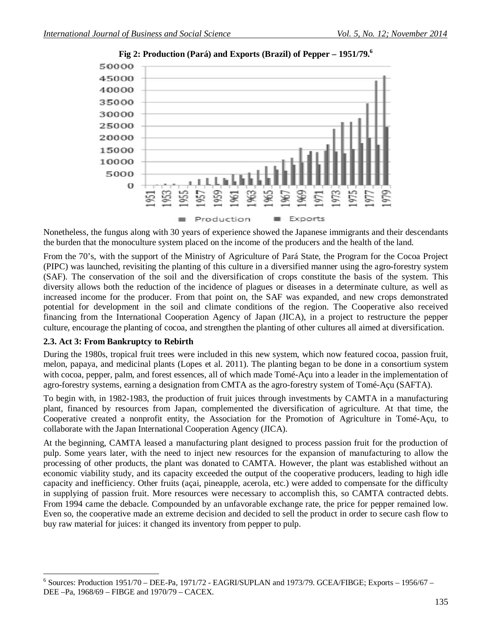

**Fig 2: Production (Pará) and Exports (Brazil) of Pepper – 1951/79.<sup>6</sup>**

Nonetheless, the fungus along with 30 years of experience showed the Japanese immigrants and their descendants the burden that the monoculture system placed on the income of the producers and the health of the land.

From the 70's, with the support of the Ministry of Agriculture of Pará State, the Program for the Cocoa Project (PIPC) was launched, revisiting the planting of this culture in a diversified manner using the agro-forestry system (SAF). The conservation of the soil and the diversification of crops constitute the basis of the system. This diversity allows both the reduction of the incidence of plagues or diseases in a determinate culture, as well as increased income for the producer. From that point on, the SAF was expanded, and new crops demonstrated potential for development in the soil and climate conditions of the region. The Cooperative also received financing from the International Cooperation Agency of Japan (JICA), in a project to restructure the pepper culture, encourage the planting of cocoa, and strengthen the planting of other cultures all aimed at diversification.

#### **2.3. Act 3: From Bankruptcy to Rebirth**

During the 1980s, tropical fruit trees were included in this new system, which now featured cocoa, passion fruit, melon, papaya, and medicinal plants (Lopes et al. 2011). The planting began to be done in a consortium system with cocoa, pepper, palm, and forest essences, all of which made Tomé-Açu into a leader in the implementation of agro-forestry systems, earning a designation from CMTA as the agro-forestry system of Tomé-Açu (SAFTA).

To begin with, in 1982-1983, the production of fruit juices through investments by CAMTA in a manufacturing plant, financed by resources from Japan, complemented the diversification of agriculture. At that time, the Cooperative created a nonprofit entity, the Association for the Promotion of Agriculture in Tomé-Açu, to collaborate with the Japan International Cooperation Agency (JICA).

At the beginning, CAMTA leased a manufacturing plant designed to process passion fruit for the production of pulp. Some years later, with the need to inject new resources for the expansion of manufacturing to allow the processing of other products, the plant was donated to CAMTA. However, the plant was established without an economic viability study, and its capacity exceeded the output of the cooperative producers, leading to high idle capacity and inefficiency. Other fruits (açai, pineapple, acerola, etc.) were added to compensate for the difficulty in supplying of passion fruit. More resources were necessary to accomplish this, so CAMTA contracted debts. From 1994 came the debacle. Compounded by an unfavorable exchange rate, the price for pepper remained low. Even so, the cooperative made an extreme decision and decided to sell the product in order to secure cash flow to buy raw material for juices: it changed its inventory from pepper to pulp.

 $\overline{a}$ <sup>6</sup> Sources: Production 1951/70 – DEE-Pa, 1971/72 - EAGRI/SUPLAN and 1973/79. GCEA/FIBGE; Exports – 1956/67 – DEE –Pa, 1968/69 – FIBGE and 1970/79 – CACEX.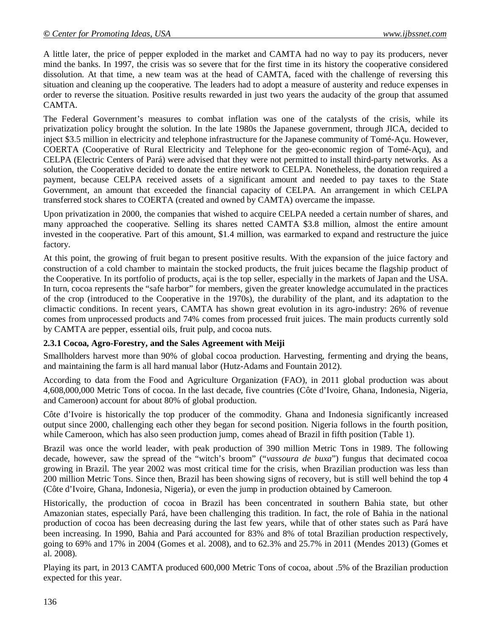A little later, the price of pepper exploded in the market and CAMTA had no way to pay its producers, never mind the banks. In 1997, the crisis was so severe that for the first time in its history the cooperative considered dissolution. At that time, a new team was at the head of CAMTA, faced with the challenge of reversing this situation and cleaning up the cooperative. The leaders had to adopt a measure of austerity and reduce expenses in order to reverse the situation. Positive results rewarded in just two years the audacity of the group that assumed CAMTA.

The Federal Government's measures to combat inflation was one of the catalysts of the crisis, while its privatization policy brought the solution. In the late 1980s the Japanese government, through JICA, decided to inject \$3.5 million in electricity and telephone infrastructure for the Japanese community of Tomé-Açu. However, COERTA (Cooperative of Rural Electricity and Telephone for the geo-economic region of Tomé-Açu), and CELPA (Electric Centers of Pará) were advised that they were not permitted to install third-party networks. As a solution, the Cooperative decided to donate the entire network to CELPA. Nonetheless, the donation required a payment, because CELPA received assets of a significant amount and needed to pay taxes to the State Government, an amount that exceeded the financial capacity of CELPA. An arrangement in which CELPA transferred stock shares to COERTA (created and owned by CAMTA) overcame the impasse.

Upon privatization in 2000, the companies that wished to acquire CELPA needed a certain number of shares, and many approached the cooperative. Selling its shares netted CAMTA \$3.8 million, almost the entire amount invested in the cooperative. Part of this amount, \$1.4 million, was earmarked to expand and restructure the juice factory.

At this point, the growing of fruit began to present positive results. With the expansion of the juice factory and construction of a cold chamber to maintain the stocked products, the fruit juices became the flagship product of the Cooperative. In its portfolio of products, açai is the top seller, especially in the markets of Japan and the USA. In turn, cocoa represents the "safe harbor" for members, given the greater knowledge accumulated in the practices of the crop (introduced to the Cooperative in the 1970s), the durability of the plant, and its adaptation to the climactic conditions. In recent years, CAMTA has shown great evolution in its agro-industry: 26% of revenue comes from unprocessed products and 74% comes from processed fruit juices. The main products currently sold by CAMTA are pepper, essential oils, fruit pulp, and cocoa nuts.

#### **2.3.1 Cocoa, Agro-Forestry, and the Sales Agreement with Meiji**

Smallholders harvest more than 90% of global cocoa production. Harvesting, fermenting and drying the beans, and maintaining the farm is all hard manual labor (Hutz-Adams and Fountain 2012).

According to data from the Food and Agriculture Organization (FAO), in 2011 global production was about 4,608,000,000 Metric Tons of cocoa. In the last decade, five countries (Côte d'Ivoire, Ghana, Indonesia, Nigeria, and Cameroon) account for about 80% of global production.

Côte d'Ivoire is historically the top producer of the commodity. Ghana and Indonesia significantly increased output since 2000, challenging each other they began for second position. Nigeria follows in the fourth position, while Cameroon, which has also seen production jump, comes ahead of Brazil in fifth position (Table 1).

Brazil was once the world leader, with peak production of 390 million Metric Tons in 1989. The following decade, however, saw the spread of the "witch's broom" ("*vassoura de buxa*") fungus that decimated cocoa growing in Brazil. The year 2002 was most critical time for the crisis, when Brazilian production was less than 200 million Metric Tons. Since then, Brazil has been showing signs of recovery, but is still well behind the top 4 (Côte d'Ivoire, Ghana, Indonesia, Nigeria), or even the jump in production obtained by Cameroon.

Historically, the production of cocoa in Brazil has been concentrated in southern Bahia state, but other Amazonian states, especially Pará, have been challenging this tradition. In fact, the role of Bahia in the national production of cocoa has been decreasing during the last few years, while that of other states such as Pará have been increasing. In 1990, Bahia and Pará accounted for 83% and 8% of total Brazilian production respectively, going to 69% and 17% in 2004 (Gomes et al. 2008), and to 62.3% and 25.7% in 2011 (Mendes 2013) (Gomes et al. 2008).

Playing its part, in 2013 CAMTA produced 600,000 Metric Tons of cocoa, about .5% of the Brazilian production expected for this year.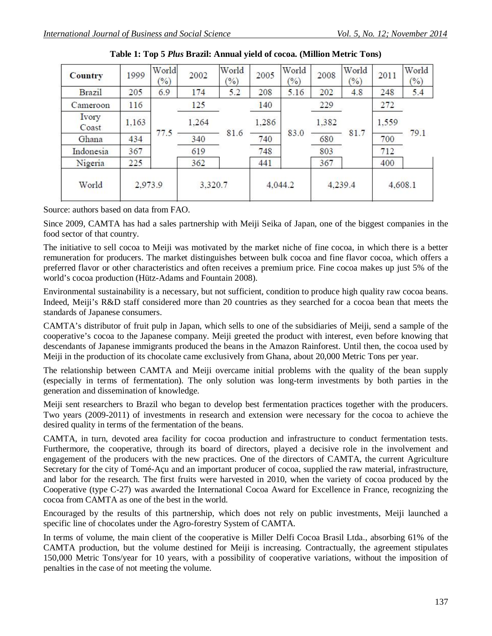| <b>Country</b> | 1999    | World<br>(%) | 2002    | World<br>$(\%)$ | 2005    | World<br>(%) | 2008    | World<br>(%) | 2011    | World<br>(2) |
|----------------|---------|--------------|---------|-----------------|---------|--------------|---------|--------------|---------|--------------|
| <b>Brazil</b>  | 205     | 6.9          | 174     | 5.2             | 208     | 5.16         | 202     | 4.8          | 248     | 5.4          |
| Cameroon       | 116     |              | 125     | 81.6            | 140     | 83.0         | 229     | 81.7         | 272     | 79.1         |
| Ivory<br>Coast | 1,163   |              | 1.264   |                 | 1.286   |              | 1,382   |              | 1,559   |              |
| Ghana          | 434     | 77.5         | 340     |                 | 740     |              | 680     |              | 700     |              |
| Indonesia      | 367     |              | 619     |                 | 748     |              | 803     |              | 712     |              |
| Nigeria        | 225     |              | 362     |                 | 441     |              | 367     |              | 400     |              |
| World          | 2,973.9 |              | 3,320.7 |                 | 4,044.2 |              | 4,239.4 |              | 4,608.1 |              |

| Table 1: Top 5 Plus Brazil: Annual yield of cocoa. (Million Metric Tons) |  |
|--------------------------------------------------------------------------|--|
|--------------------------------------------------------------------------|--|

Source: authors based on data from FAO.

Since 2009, CAMTA has had a sales partnership with Meiji Seika of Japan, one of the biggest companies in the food sector of that country.

The initiative to sell cocoa to Meiji was motivated by the market niche of fine cocoa, in which there is a better remuneration for producers. The market distinguishes between bulk cocoa and fine flavor cocoa, which offers a preferred flavor or other characteristics and often receives a premium price. Fine cocoa makes up just 5% of the world's cocoa production (Hütz-Adams and Fountain 2008).

Environmental sustainability is a necessary, but not sufficient, condition to produce high quality raw cocoa beans. Indeed, Meiji's R&D staff considered more than 20 countries as they searched for a cocoa bean that meets the standards of Japanese consumers.

CAMTA's distributor of fruit pulp in Japan, which sells to one of the subsidiaries of Meiji, send a sample of the cooperative's cocoa to the Japanese company. Meiji greeted the product with interest, even before knowing that descendants of Japanese immigrants produced the beans in the Amazon Rainforest. Until then, the cocoa used by Meiji in the production of its chocolate came exclusively from Ghana, about 20,000 Metric Tons per year.

The relationship between CAMTA and Meiji overcame initial problems with the quality of the bean supply (especially in terms of fermentation). The only solution was long-term investments by both parties in the generation and dissemination of knowledge.

Meiji sent researchers to Brazil who began to develop best fermentation practices together with the producers. Two years (2009-2011) of investments in research and extension were necessary for the cocoa to achieve the desired quality in terms of the fermentation of the beans.

CAMTA, in turn, devoted area facility for cocoa production and infrastructure to conduct fermentation tests. Furthermore, the cooperative, through its board of directors, played a decisive role in the involvement and engagement of the producers with the new practices. One of the directors of CAMTA, the current Agriculture Secretary for the city of Tomé-Açu and an important producer of cocoa, supplied the raw material, infrastructure, and labor for the research. The first fruits were harvested in 2010, when the variety of cocoa produced by the Cooperative (type C-27) was awarded the International Cocoa Award for Excellence in France, recognizing the cocoa from CAMTA as one of the best in the world.

Encouraged by the results of this partnership, which does not rely on public investments, Meiji launched a specific line of chocolates under the Agro-forestry System of CAMTA.

In terms of volume, the main client of the cooperative is Miller Delfi Cocoa Brasil Ltda., absorbing 61% of the CAMTA production, but the volume destined for Meiji is increasing. Contractually, the agreement stipulates 150,000 Metric Tons/year for 10 years, with a possibility of cooperative variations, without the imposition of penalties in the case of not meeting the volume.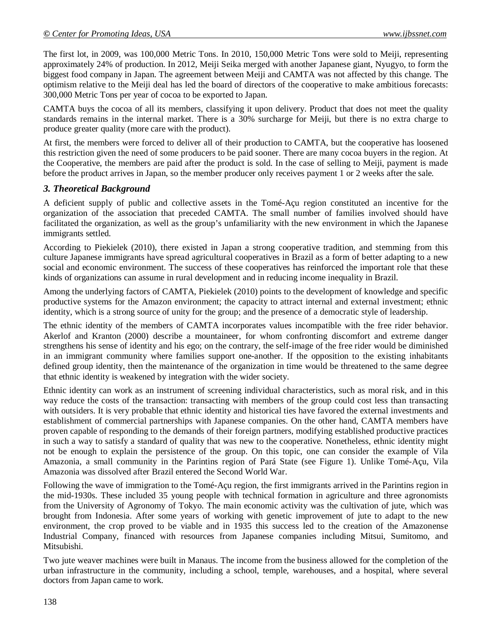The first lot, in 2009, was 100,000 Metric Tons. In 2010, 150,000 Metric Tons were sold to Meiji, representing approximately 24% of production. In 2012, Meiji Seika merged with another Japanese giant, Nyugyo, to form the biggest food company in Japan. The agreement between Meiji and CAMTA was not affected by this change. The optimism relative to the Meiji deal has led the board of directors of the cooperative to make ambitious forecasts: 300,000 Metric Tons per year of cocoa to be exported to Japan.

CAMTA buys the cocoa of all its members, classifying it upon delivery. Product that does not meet the quality standards remains in the internal market. There is a 30% surcharge for Meiji, but there is no extra charge to produce greater quality (more care with the product).

At first, the members were forced to deliver all of their production to CAMTA, but the cooperative has loosened this restriction given the need of some producers to be paid sooner. There are many cocoa buyers in the region. At the Cooperative, the members are paid after the product is sold. In the case of selling to Meiji, payment is made before the product arrives in Japan, so the member producer only receives payment 1 or 2 weeks after the sale.

### *3. Theoretical Background*

A deficient supply of public and collective assets in the Tomé-Açu region constituted an incentive for the organization of the association that preceded CAMTA. The small number of families involved should have facilitated the organization, as well as the group's unfamiliarity with the new environment in which the Japanese immigrants settled.

According to Piekielek (2010), there existed in Japan a strong cooperative tradition, and stemming from this culture Japanese immigrants have spread agricultural cooperatives in Brazil as a form of better adapting to a new social and economic environment. The success of these cooperatives has reinforced the important role that these kinds of organizations can assume in rural development and in reducing income inequality in Brazil.

Among the underlying factors of CAMTA, Piekielek (2010) points to the development of knowledge and specific productive systems for the Amazon environment; the capacity to attract internal and external investment; ethnic identity, which is a strong source of unity for the group; and the presence of a democratic style of leadership.

The ethnic identity of the members of CAMTA incorporates values incompatible with the free rider behavior. Akerlof and Kranton (2000) describe a mountaineer, for whom confronting discomfort and extreme danger strengthens his sense of identity and his ego; on the contrary, the self-image of the free rider would be diminished in an immigrant community where families support one-another. If the opposition to the existing inhabitants defined group identity, then the maintenance of the organization in time would be threatened to the same degree that ethnic identity is weakened by integration with the wider society.

Ethnic identity can work as an instrument of screening individual characteristics, such as moral risk, and in this way reduce the costs of the transaction: transacting with members of the group could cost less than transacting with outsiders. It is very probable that ethnic identity and historical ties have favored the external investments and establishment of commercial partnerships with Japanese companies. On the other hand, CAMTA members have proven capable of responding to the demands of their foreign partners, modifying established productive practices in such a way to satisfy a standard of quality that was new to the cooperative. Nonetheless, ethnic identity might not be enough to explain the persistence of the group. On this topic, one can consider the example of Vila Amazonia, a small community in the Parintins region of Pará State (see Figure 1). Unlike Tomé-Açu, Vila Amazonia was dissolved after Brazil entered the Second World War.

Following the wave of immigration to the Tomé-Açu region, the first immigrants arrived in the Parintins region in the mid-1930s. These included 35 young people with technical formation in agriculture and three agronomists from the University of Agronomy of Tokyo. The main economic activity was the cultivation of jute, which was brought from Indonesia. After some years of working with genetic improvement of jute to adapt to the new environment, the crop proved to be viable and in 1935 this success led to the creation of the Amazonense Industrial Company, financed with resources from Japanese companies including Mitsui, Sumitomo, and Mitsubishi.

Two jute weaver machines were built in Manaus. The income from the business allowed for the completion of the urban infrastructure in the community, including a school, temple, warehouses, and a hospital, where several doctors from Japan came to work.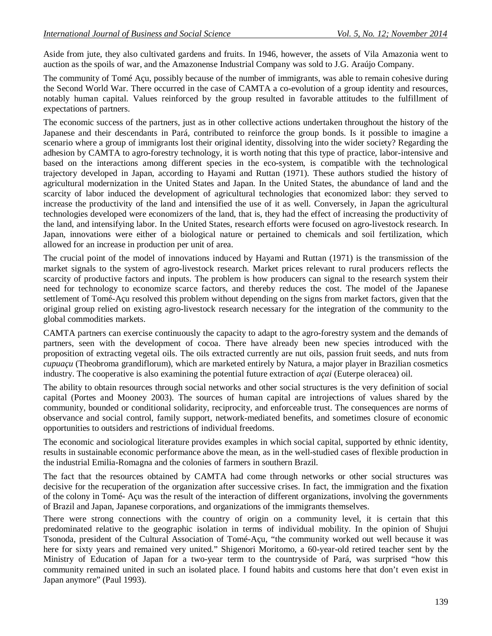Aside from jute, they also cultivated gardens and fruits. In 1946, however, the assets of Vila Amazonia went to auction as the spoils of war, and the Amazonense Industrial Company was sold to J.G. Araújo Company.

The community of Tomé Açu, possibly because of the number of immigrants, was able to remain cohesive during the Second World War. There occurred in the case of CAMTA a co-evolution of a group identity and resources, notably human capital. Values reinforced by the group resulted in favorable attitudes to the fulfillment of expectations of partners.

The economic success of the partners, just as in other collective actions undertaken throughout the history of the Japanese and their descendants in Pará, contributed to reinforce the group bonds. Is it possible to imagine a scenario where a group of immigrants lost their original identity, dissolving into the wider society? Regarding the adhesion by CAMTA to agro-forestry technology, it is worth noting that this type of practice, labor-intensive and based on the interactions among different species in the eco-system, is compatible with the technological trajectory developed in Japan, according to Hayami and Ruttan (1971). These authors studied the history of agricultural modernization in the United States and Japan. In the United States, the abundance of land and the scarcity of labor induced the development of agricultural technologies that economized labor: they served to increase the productivity of the land and intensified the use of it as well. Conversely, in Japan the agricultural technologies developed were economizers of the land, that is, they had the effect of increasing the productivity of the land, and intensifying labor. In the United States, research efforts were focused on agro-livestock research. In Japan, innovations were either of a biological nature or pertained to chemicals and soil fertilization, which allowed for an increase in production per unit of area.

The crucial point of the model of innovations induced by Hayami and Ruttan (1971) is the transmission of the market signals to the system of agro-livestock research. Market prices relevant to rural producers reflects the scarcity of productive factors and inputs. The problem is how producers can signal to the research system their need for technology to economize scarce factors, and thereby reduces the cost. The model of the Japanese settlement of Tomé-Açu resolved this problem without depending on the signs from market factors, given that the original group relied on existing agro-livestock research necessary for the integration of the community to the global commodities markets.

CAMTA partners can exercise continuously the capacity to adapt to the agro-forestry system and the demands of partners, seen with the development of cocoa. There have already been new species introduced with the proposition of extracting vegetal oils. The oils extracted currently are nut oils, passion fruit seeds, and nuts from *cupuaçu* (Theobroma grandiflorum), which are marketed entirely by Natura, a major player in Brazilian cosmetics industry. The cooperative is also examining the potential future extraction of *açai* (Euterpe oleracea) oil.

The ability to obtain resources through social networks and other social structures is the very definition of social capital (Portes and Mooney 2003). The sources of human capital are introjections of values shared by the community, bounded or conditional solidarity, reciprocity, and enforceable trust. The consequences are norms of observance and social control, family support, network-mediated benefits, and sometimes closure of economic opportunities to outsiders and restrictions of individual freedoms.

The economic and sociological literature provides examples in which social capital, supported by ethnic identity, results in sustainable economic performance above the mean, as in the well-studied cases of flexible production in the industrial Emilia-Romagna and the colonies of farmers in southern Brazil.

The fact that the resources obtained by CAMTA had come through networks or other social structures was decisive for the recuperation of the organization after successive crises. In fact, the immigration and the fixation of the colony in Tomé- Açu was the result of the interaction of different organizations, involving the governments of Brazil and Japan, Japanese corporations, and organizations of the immigrants themselves.

There were strong connections with the country of origin on a community level, it is certain that this predominated relative to the geographic isolation in terms of individual mobility. In the opinion of Shujui Tsonoda, president of the Cultural Association of Tomé-Açu, "the community worked out well because it was here for sixty years and remained very united." Shigenori Moritomo, a 60-year-old retired teacher sent by the Ministry of Education of Japan for a two-year term to the countryside of Pará, was surprised "how this community remained united in such an isolated place. I found habits and customs here that don't even exist in Japan anymore" (Paul 1993).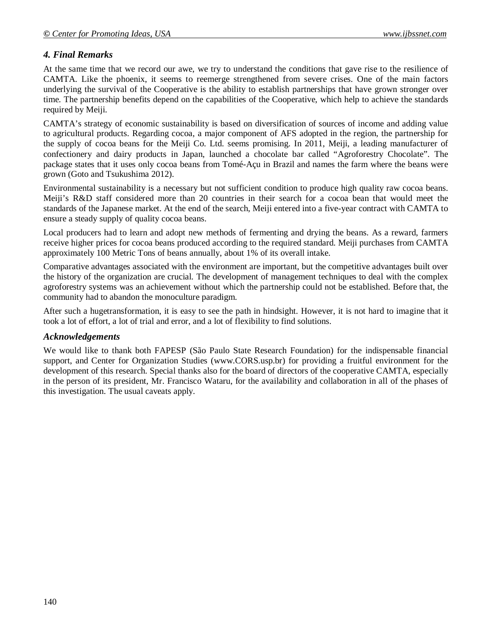# *4. Final Remarks*

At the same time that we record our awe, we try to understand the conditions that gave rise to the resilience of CAMTA. Like the phoenix, it seems to reemerge strengthened from severe crises. One of the main factors underlying the survival of the Cooperative is the ability to establish partnerships that have grown stronger over time. The partnership benefits depend on the capabilities of the Cooperative, which help to achieve the standards required by Meiji.

CAMTA's strategy of economic sustainability is based on diversification of sources of income and adding value to agricultural products. Regarding cocoa, a major component of AFS adopted in the region, the partnership for the supply of cocoa beans for the Meiji Co. Ltd. seems promising. In 2011, Meiji, a leading manufacturer of confectionery and dairy products in Japan, launched a chocolate bar called "Agroforestry Chocolate". The package states that it uses only cocoa beans from Tomé-Açu in Brazil and names the farm where the beans were grown (Goto and Tsukushima 2012).

Environmental sustainability is a necessary but not sufficient condition to produce high quality raw cocoa beans. Meiji's R&D staff considered more than 20 countries in their search for a cocoa bean that would meet the standards of the Japanese market. At the end of the search, Meiji entered into a five-year contract with CAMTA to ensure a steady supply of quality cocoa beans.

Local producers had to learn and adopt new methods of fermenting and drying the beans. As a reward, farmers receive higher prices for cocoa beans produced according to the required standard. Meiji purchases from CAMTA approximately 100 Metric Tons of beans annually, about 1% of its overall intake.

Comparative advantages associated with the environment are important, but the competitive advantages built over the history of the organization are crucial. The development of management techniques to deal with the complex agroforestry systems was an achievement without which the partnership could not be established. Before that, the community had to abandon the monoculture paradigm.

After such a hugetransformation, it is easy to see the path in hindsight. However, it is not hard to imagine that it took a lot of effort, a lot of trial and error, and a lot of flexibility to find solutions.

### *Acknowledgements*

We would like to thank both FAPESP (São Paulo State Research Foundation) for the indispensable financial support, and Center for Organization Studies (www.CORS.usp.br) for providing a fruitful environment for the development of this research. Special thanks also for the board of directors of the cooperative CAMTA, especially in the person of its president, Mr. Francisco Wataru, for the availability and collaboration in all of the phases of this investigation. The usual caveats apply.